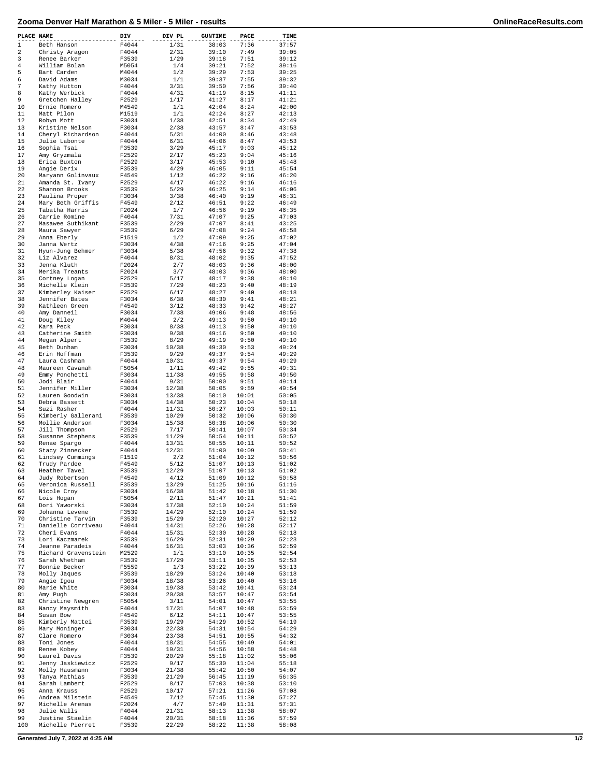## **Zooma Denver Half Marathon & 5 Miler - 5 Miler - results OnlineRaceResults.com**

| PLACE NAME     |                     | DIV   | DIV PL | <b>GUNTIME</b> | PACE  | TIME  |
|----------------|---------------------|-------|--------|----------------|-------|-------|
| $\mathbf 1$    | Beth Hanson         | F4044 | 1/31   | 38:03          | 7:36  | 37:57 |
| $\overline{a}$ | Christy Aragon      | F4044 | 2/31   | 39:10          | 7:49  | 39:05 |
| 3              | Renee Barker        | F3539 | 1/29   | 39:18          | 7:51  | 39:12 |
| 4              | William Bolan       | M5054 | 1/4    | 39:21          | 7:52  | 39:16 |
| 5              | Bart Carden         | M4044 | 1/2    | 39:29          | 7:53  | 39:25 |
| 6              | David Adams         | M3034 | 1/1    | 39:37          | 7:55  | 39:32 |
| 7              | Kathy Hutton        | F4044 | 3/31   | 39:50          | 7:56  | 39:40 |
| 8              | Kathy Werbick       | F4044 | 4/31   | 41:19          | 8:15  | 41:11 |
| 9              | Gretchen Halley     | F2529 | 1/17   | 41:27          | 8:17  | 41:21 |
| 10             | Ernie Romero        | M4549 | 1/1    | 42:04          | 8:24  | 42:00 |
| 11             | Matt Pilon          | M1519 | 1/1    | 42:24          | 8:27  | 42:13 |
| 12             | Robyn Mott          | F3034 | 1/38   | 42:51          | 8:34  | 42:49 |
| 13             | Kristine Nelson     | F3034 | 2/38   | 43:57          | 8:47  | 43:53 |
| 14             | Cheryl Richardson   | F4044 | 5/31   | 44:00          | 8:46  | 43:48 |
| 15             | Julie Labonte       | F4044 | 6/31   | 44:06          | 8:47  | 43:53 |
| 16             | Sophia Tsai         | F3539 | 3/29   | 45:17          | 9:03  | 45:12 |
| 17             | Amy Gryzmala        | F2529 | 2/17   | 45:23          | 9:04  | 45:16 |
| 18             |                     | F2529 | 3/17   | 45:53          | 9:10  | 45:48 |
|                | Erica Buxton        |       |        |                |       |       |
| 19             | Angie Derix         | F3539 | 4/29   | 46:05          | 9:11  | 45:54 |
| 20             | Maryann Golinvaux   | F4549 | 1/12   | 46:22          | 9:16  | 46:20 |
| 21             | Amanda St. Ivany    | F2529 | 4/17   | 46:22          | 9:16  | 46:16 |
| 22             | Shannon Brooks      | F3539 | 5/29   | 46:25          | 9:14  | 46:06 |
| 23             | Paulina Proper      | F3034 | 3/38   | 46:40          | 9:19  | 46:31 |
| 24             | Mary Beth Griffis   | F4549 | 2/12   | 46:51          | 9:22  | 46:49 |
| 25             | Tabatha Harris      | F2024 | 1/7    | 46:56          | 9:19  | 46:35 |
| 26             | Carrie Romine       | F4044 | 7/31   | 47:07          | 9:25  | 47:03 |
| 27             | Masawee Suthikant   | F3539 | 2/29   | 47:07          | 8:41  | 43:25 |
| 28             | Maura Sawyer        | F3539 | 6/29   | 47:08          | 9:24  | 46:58 |
| 29             | Anna Eberly         | F1519 | 1/2    | 47:09          | 9:25  | 47:02 |
| 30             | Janna Wertz         | F3034 | 4/38   | 47:16          | 9:25  | 47:04 |
| 31             | Hyun-Jung Behmer    | F3034 | 5/38   | 47:56          | 9:32  | 47:38 |
| 32             | Liz Alvarez         | F4044 | 8/31   | 48:02          | 9:35  | 47:52 |
| 33             | Jenna Kluth         | F2024 | 2/7    | 48:03          | 9:36  | 48:00 |
| 34             | Merika Treants      | F2024 | 3/7    | 48:03          | 9:36  | 48:00 |
| 35             |                     |       | 5/17   |                |       |       |
|                | Cortney Logan       | F2529 |        | 48:17          | 9:38  | 48:10 |
| 36             | Michelle Klein      | F3539 | 7/29   | 48:23          | 9:40  | 48:19 |
| 37             | Kimberley Kaiser    | F2529 | 6/17   | 48:27          | 9:40  | 48:18 |
| 38             | Jennifer Bates      | F3034 | 6/38   | 48:30          | 9:41  | 48:21 |
| 39             | Kathleen Green      | F4549 | 3/12   | 48:33          | 9:42  | 48:27 |
| 40             | Amy Danneil         | F3034 | 7/38   | 49:06          | 9:48  | 48:56 |
| 41             | Doug Kiley          | M4044 | 2/2    | 49:13          | 9:50  | 49:10 |
| 42             | Kara Peck           | F3034 | 8/38   | 49:13          | 9:50  | 49:10 |
| 43             | Catherine Smith     | F3034 | 9/38   | 49:16          | 9:50  | 49:10 |
| 44             | Megan Alpert        | F3539 | 8/29   | 49:19          | 9:50  | 49:10 |
| 45             | Beth Dunham         | F3034 | 10/38  | 49:30          | 9:53  | 49:24 |
| 46             | Erin Hoffman        | F3539 | 9/29   | 49:37          | 9:54  | 49:29 |
| 47             | Laura Cashman       | F4044 | 10/31  | 49:37          | 9:54  | 49:29 |
| 48             | Maureen Cavanah     | F5054 | 1/11   | 49:42          | 9:55  | 49:31 |
| 49             | Emmy Ponchetti      | F3034 | 11/38  | 49:55          | 9:58  | 49:50 |
| 50             | Jodi Blair          | F4044 | 9/31   | 50:00          | 9:51  | 49:14 |
| 51             | Jennifer Miller     | F3034 | 12/38  | 50:05          | 9:59  | 49:54 |
| 52             | Lauren Goodwin      | F3034 | 13/38  | 50:10          | 10:01 | 50:05 |
| 53             |                     |       |        |                |       |       |
|                | Debra Bassett       | F3034 | 14/38  | 50:23          | 10:04 | 50:18 |
| 54             | Suzi Rasher         | F4044 | 11/31  | 50:27          | 10:03 | 50:11 |
| 55             | Kimberly Gallerani  | F3539 | 10/29  | 50:32          | 10:06 | 50:30 |
| 56             | Mollie Anderson     | F3034 | 15/38  | 50:38          | 10:06 | 50:30 |
| 57             | Jill Thompson       | F2529 | 7/17   | 50:41          | 10:07 | 50:34 |
| 58             | Susanne Stephens    | F3539 | 11/29  | 50:54          | 10:11 | 50:52 |
| 59             | Renae Spargo        | F4044 | 13/31  | 50:55          | 10:11 | 50:52 |
| 60             | Stacy Zinnecker     | F4044 | 12/31  | 51:00          | 10:09 | 50:41 |
| 61             | Lindsey Cummings    | F1519 | 2/2    | 51:04          | 10:12 | 50:56 |
| 62             | Trudy Pardee        | F4549 | 5/12   | 51:07          | 10:13 | 51:02 |
| 63             | Heather Tavel       | F3539 | 12/29  | 51:07          | 10:13 | 51:02 |
| 64             | Judy Robertson      | F4549 | 4/12   | 51:09          | 10:12 | 50:58 |
| 65             | Veronica Russell    | F3539 | 13/29  | 51:25          | 10:16 | 51:16 |
| 66             | Nicole Croy         | F3034 | 16/38  | 51:42          | 10:18 | 51:30 |
| 67             | Lois Hogan          | F5054 | 2/11   | 51:47          | 10:21 | 51:41 |
| 68             | Dori Yaworski       | F3034 | 17/38  | 52:10          | 10:24 | 51:59 |
| 69             | Johanna Levene      | F3539 | 14/29  | 52:10          | 10:24 | 51:59 |
| 70             | Christine Tarvin    | F3539 | 15/29  | 52:20          | 10:27 | 52:12 |
| 71             | Danielle Corriveau  | F4044 | 14/31  | 52:26          | 10:28 | 52:17 |
| 72             | Cheri Evans         | F4044 | 15/31  | 52:30          | 10:28 | 52:18 |
| 73             | Lori Kaczmarek      | F3539 | 16/29  | 52:31          | 10:29 | 52:23 |
| 74             | Jeanne Paradeis     | F4044 | 16/31  | 53:03          | 10:36 | 52:59 |
| 75             | Richard Gravenstein | M2529 | 1/1    | 53:10          | 10:35 | 52:54 |
| 76             | Sarah Whetham       | F3539 | 17/29  | 53:11          | 10:35 | 52:53 |
| 77             | Bonnie Becker       | F5559 | 1/3    | 53:22          | 10:39 | 53:13 |
| 78             | Molly Jaques        | F3539 | 18/29  | 53:24          | 10:40 | 53:18 |
|                |                     |       |        |                |       |       |
| 79             | Angie Igou          | F3034 | 18/38  | 53:26          | 10:40 | 53:16 |
| 80             | Marie White         | F3034 | 19/38  | 53:42          | 10:41 | 53:24 |
| 81             | Amy Pugh            | F3034 | 20/38  | 53:57          | 10:47 | 53:54 |
| 82             | Christine Newgren   | F5054 | 3/11   | 54:01          | 10:47 | 53:55 |
| 83             | Nancy Maysmith      | F4044 | 17/31  | 54:07          | 10:48 | 53:59 |
| 84             | Susan Bow           | F4549 | 6/12   | 54:11          | 10:47 | 53:55 |
| 85             | Kimberly Mattei     | F3539 | 19/29  | 54:29          | 10:52 | 54:19 |
| 86             | Mary Moninger       | F3034 | 22/38  | 54:31          | 10:54 | 54:29 |
| 87             | Clare Romero        | F3034 | 23/38  | 54:51          | 10:55 | 54:32 |
| 88             | Toni Jones          | F4044 | 18/31  | 54:55          | 10:49 | 54:01 |
| 89             | Renee Kobey         | F4044 | 19/31  | 54:56          | 10:58 | 54:48 |
| 90             | Laurel Davis        | F3539 | 20/29  | 55:18          | 11:02 | 55:06 |
| 91             | Jenny Jaskiewicz    | F2529 | 9/17   | 55:30          | 11:04 | 55:18 |
| 92             | Molly Hausmann      | F3034 | 21/38  | 55:42          | 10:50 | 54:07 |
| 93             | Tanya Mathias       | F3539 | 21/29  | 56:45          | 11:19 | 56:35 |
| 94             | Sarah Lambert       | F2529 | 8/17   | 57:03          | 10:38 | 53:10 |
| 95             | Anna Krauss         | F2529 | 10/17  | 57:21          | 11:26 | 57:08 |
| 96             |                     |       |        | 57:45          |       |       |
|                | Andrea Milstein     | F4549 | 7/12   |                | 11:30 | 57:27 |
| 97             | Michelle Arenas     | F2024 | 4/7    | 57:49          | 11:31 | 57:31 |
| 98             | Julie Walls         | F4044 | 21/31  | 58:13          | 11:38 | 58:07 |
| 99             | Justine Staelin     | F4044 | 20/31  | 58:18          | 11:36 | 57:59 |
| 100            | Michelle Pierret    | F3539 | 22/29  | 58:22          | 11:38 | 58:08 |

**Generated July 7, 2022 at 4:25 AM 1/2**